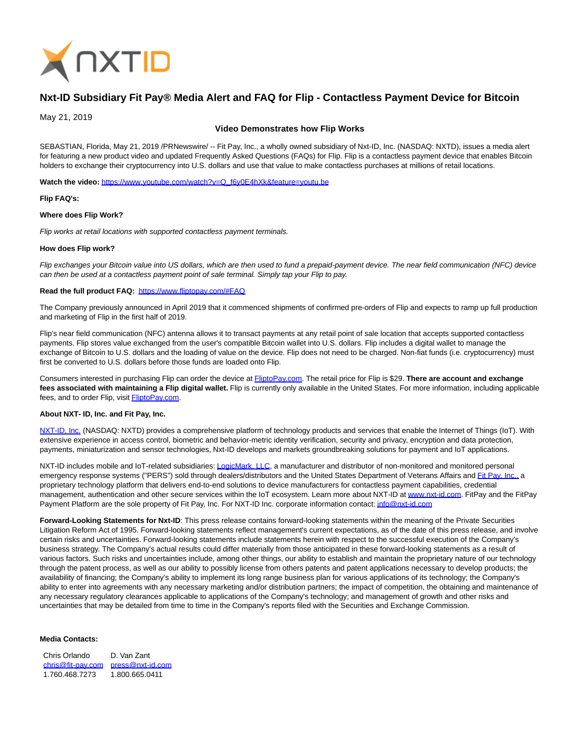

# **Nxt-ID Subsidiary Fit Pay® Media Alert and FAQ for Flip - Contactless Payment Device for Bitcoin**

May 21, 2019

# **Video Demonstrates how Flip Works**

SEBASTIAN, Florida, May 21, 2019 /PRNewswire/ -- Fit Pay, Inc., a wholly owned subsidiary of Nxt-ID, Inc. (NASDAQ: NXTD), issues a media alert for featuring a new product video and updated Frequently Asked Questions (FAQs) for Flip. Flip is a contactless payment device that enables Bitcoin holders to exchange their cryptocurrency into U.S. dollars and use that value to make contactless purchases at millions of retail locations.

Watch the video: [https://www.youtube.com/watch?v=Q\\_f6y0E4hXk&feature=youtu.be](https://www.youtube.com/watch?v=Q_f6y0E4hXk&feature=youtu.be)

#### **Flip FAQ's:**

#### **Where does Flip Work?**

Flip works at retail locations with supported contactless payment terminals.

#### **How does Flip work?**

Flip exchanges your Bitcoin value into US dollars, which are then used to fund a prepaid-payment device. The near field communication (NFC) device can then be used at a contactless payment point of sale terminal. Simply tap your Flip to pay.

## **Read the full product FAQ:** <https://www.fliptopay.com/#FAQ>

The Company previously announced in April 2019 that it commenced shipments of confirmed pre-orders of Flip and expects to ramp up full production and marketing of Flip in the first half of 2019.

Flip's near field communication (NFC) antenna allows it to transact payments at any retail point of sale location that accepts supported contactless payments. Flip stores value exchanged from the user's compatible Bitcoin wallet into U.S. dollars. Flip includes a digital wallet to manage the exchange of Bitcoin to U.S. dollars and the loading of value on the device. Flip does not need to be charged. Non-fiat funds (i.e. cryptocurrency) must first be converted to U.S. dollars before those funds are loaded onto Flip.

Consumers interested in purchasing Flip can order the device at [FliptoPay.com.](http://www.fliptopay.com/) The retail price for Flip is \$29. **There are account and exchange** fees associated with maintaining a Flip digital wallet. Flip is currently only available in the United States. For more information, including applicable fees, and to order Flip, visit [FliptoPay.com.](http://www.fliptopay.com/)

## **About NXT- ID, Inc. and Fit Pay, Inc.**

[NXT-ID, Inc. \(](http://www.nxt-id.com/)NASDAQ: NXTD) provides a comprehensive platform of technology products and services that enable the Internet of Things (IoT). With extensive experience in access control, biometric and behavior-metric identity verification, security and privacy, encryption and data protection, payments, miniaturization and sensor technologies, Nxt-ID develops and markets groundbreaking solutions for payment and IoT applications.

NXT-ID includes mobile and IoT-related subsidiaries[: LogicMark, LLC,](https://www.logicmark.com/) a manufacturer and distributor of non-monitored and monitored personal emergency response systems ("PERS") sold through dealers/distributors and the United States Department of Veterans Affairs an[d Fit Pay, Inc., a](http://www.fit-pay.com/) proprietary technology platform that delivers end-to-end solutions to device manufacturers for contactless payment capabilities, credential management, authentication and other secure services within the IoT ecosystem. Learn more about NXT-ID at [www.nxt-id.com.](http://www.nxt-id.com/) FitPay and the FitPay Payment Platform are the sole property of Fit Pay, Inc. For NXT-ID Inc. corporate information contact: *info@nxt-id.com* 

Forward-Looking Statements for Nxt-ID: This press release contains forward-looking statements within the meaning of the Private Securities Litigation Reform Act of 1995. Forward-looking statements reflect management's current expectations, as of the date of this press release, and involve certain risks and uncertainties. Forward-looking statements include statements herein with respect to the successful execution of the Company's business strategy. The Company's actual results could differ materially from those anticipated in these forward-looking statements as a result of various factors. Such risks and uncertainties include, among other things, our ability to establish and maintain the proprietary nature of our technology through the patent process, as well as our ability to possibly license from others patents and patent applications necessary to develop products; the availability of financing; the Company's ability to implement its long range business plan for various applications of its technology; the Company's ability to enter into agreements with any necessary marketing and/or distribution partners; the impact of competition, the obtaining and maintenance of any necessary regulatory clearances applicable to applications of the Company's technology; and management of growth and other risks and uncertainties that may be detailed from time to time in the Company's reports filed with the Securities and Exchange Commission.

#### **Media Contacts:**

| Chris Orlando     | D. Van Zant      |
|-------------------|------------------|
| chris@fit-pay.com | press@nxt-id.com |
| 1.760.468.7273    | 1.800.665.0411   |